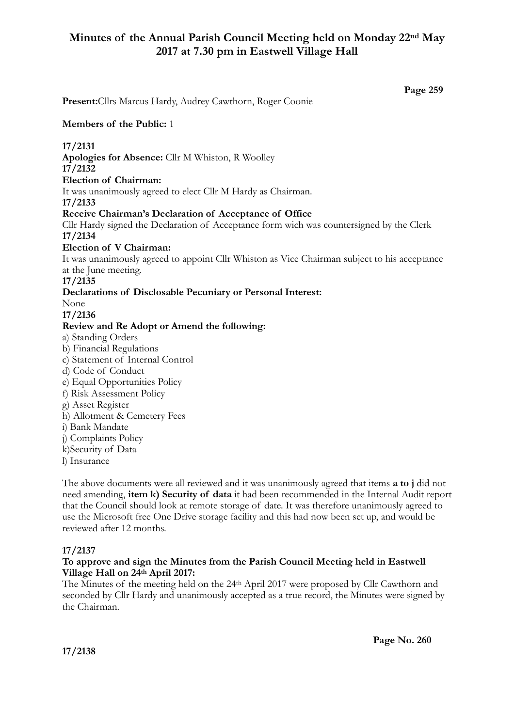# **Minutes of the Annual Parish Council Meeting held on Monday 22nd May 2017 at 7.30 pm in Eastwell Village Hall**

**Page 259**

**Present:**Cllrs Marcus Hardy, Audrey Cawthorn, Roger Coonie **Members of the Public:** 1 **17/2131 Apologies for Absence:** Cllr M Whiston, R Woolley **17/2132 Election of Chairman:**  It was unanimously agreed to elect Cllr M Hardy as Chairman. **17/2133 Receive Chairman's Declaration of Acceptance of Office**  Cllr Hardy signed the Declaration of Acceptance form wich was countersigned by the Clerk **17/2134 Election of V Chairman:**  It was unanimously agreed to appoint Cllr Whiston as Vice Chairman subject to his acceptance at the June meeting. **17/2135 Declarations of Disclosable Pecuniary or Personal Interest:** None **17/2136 Review and Re Adopt or Amend the following:**  a) Standing Orders b) Financial Regulations c) Statement of Internal Control d) Code of Conduct e) Equal Opportunities Policy f) Risk Assessment Policy g) Asset Register h) Allotment & Cemetery Fees i) Bank Mandate j) Complaints Policy k)Security of Data l) Insurance The above documents were all reviewed and it was unanimously agreed that items **a to j** did not

need amending, **item k) Security of data** it had been recommended in the Internal Audit report that the Council should look at remote storage of date. It was therefore unanimously agreed to use the Microsoft free One Drive storage facility and this had now been set up, and would be reviewed after 12 months.

### **17/2137**

### **To approve and sign the Minutes from the Parish Council Meeting held in Eastwell Village Hall on 24th April 2017:**

The Minutes of the meeting held on the 24th April 2017 were proposed by Cllr Cawthorn and seconded by Cllr Hardy and unanimously accepted as a true record, the Minutes were signed by the Chairman.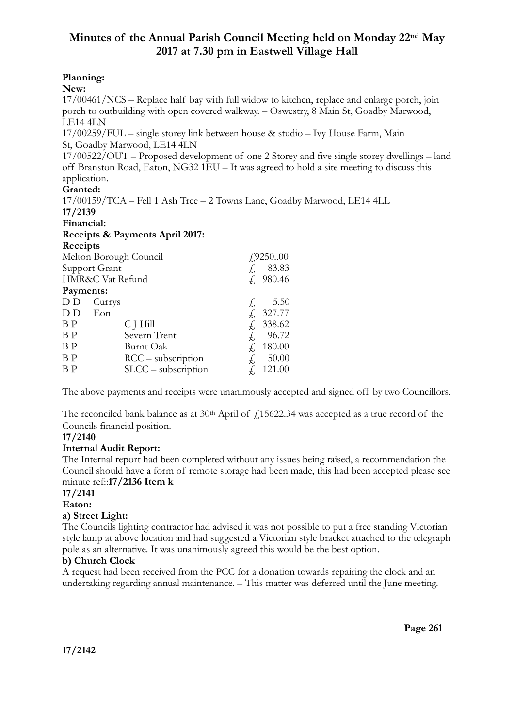# **Minutes of the Annual Parish Council Meeting held on Monday 22nd May 2017 at 7.30 pm in Eastwell Village Hall**

# **Planning:**

### **New:**

17/00461/NCS – Replace half bay with full widow to kitchen, replace and enlarge porch, join porch to outbuilding with open covered walkway. – Oswestry, 8 Main St, Goadby Marwood, LE14 4LN

17/00259/FUL – single storey link between house & studio – Ivy House Farm, Main St, Goadby Marwood, LE14 4LN

17/00522/OUT – Proposed development of one 2 Storey and five single storey dwellings – land off Branston Road, Eaton, NG32 1EU – It was agreed to hold a site meeting to discuss this application.

### **Granted:**

17/00159/TCA – Fell 1 Ash Tree – 2 Towns Lane, Goadby Marwood, LE14 4LL

| 17/2139                         |                       |               |
|---------------------------------|-----------------------|---------------|
| Financial:                      |                       |               |
| Receipts & Payments April 2017: |                       |               |
| Receipts                        |                       |               |
| Melton Borough Council          |                       | $f_{.}925000$ |
|                                 | Support Grant         | 83.83         |
|                                 | HMR&C Vat Refund      | f. 980.46     |
| Payments:                       |                       |               |
| D D                             | Currys                | 5.50          |
| D D                             | Eon                   | 327.77        |
| B P                             | C J Hill              | 338.62        |
| B P                             | Severn Trent          | 96.72<br>Ł,   |
| B P                             | Burnt Oak             | 180.00        |
| B P                             | $RCC -$ subscription  | 50.00         |
| ΒP                              | $SLCC$ – subscription | 121.00        |
|                                 |                       |               |

The above payments and receipts were unanimously accepted and signed off by two Councillors.

The reconciled bank balance as at  $30<sup>th</sup>$  April of  $f$ , 15622.34 was accepted as a true record of the Councils financial position.

### **17/2140**

## **Internal Audit Report:**

The Internal report had been completed without any issues being raised, a recommendation the Council should have a form of remote storage had been made, this had been accepted please see minute ref::**17/2136 Item k**

## **17/2141**

### **Eaton:**

**a) Street Light:** 

The Councils lighting contractor had advised it was not possible to put a free standing Victorian style lamp at above location and had suggested a Victorian style bracket attached to the telegraph pole as an alternative. It was unanimously agreed this would be the best option.

## **b) Church Clock**

A request had been received from the PCC for a donation towards repairing the clock and an undertaking regarding annual maintenance. – This matter was deferred until the June meeting.